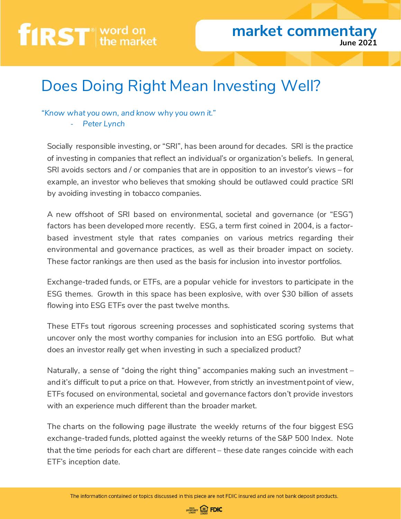#### Does Doing Right Mean Investing Well?

#### *"Know what you own, and know why you own it."*

**Peter Lynch** 

Socially responsible investing, or "SRI", has been around for decades. SRI is the practice of investing in companies that reflect an individual's or organization's beliefs. In general, SRI avoids sectors and / or companies that are in opposition to an investor's views – for example, an investor who believes that smoking should be outlawed could practice SRI by avoiding investing in tobacco companies.

A new offshoot of SRI based on environmental, societal and governance (or "ESG") factors has been developed more recently. ESG, a term first coined in 2004, is a factorbased investment style that rates companies on various metrics regarding their environmental and governance practices, as well as their broader impact on society. These factor rankings are then used as the basis for inclusion into investor portfolios.

Exchange-traded funds, or ETFs, are a popular vehicle for investors to participate in the ESG themes. Growth in this space has been explosive, with over \$30 billion of assets flowing into ESG ETFs over the past twelve months.

These ETFs tout rigorous screening processes and sophisticated scoring systems that uncover only the most worthy companies for inclusion into an ESG portfolio. But what does an investor *really* get when investing in such a specialized product?

Naturally, a sense of "doing the right thing" accompanies making such an investment – and it's difficult to put a price on that. However, from strictly an investment point of view, ETFs focused on environmental, societal and governance factors don't provide investors with an experience much different than the broader market.

The charts on the following page illustrate the weekly returns of the four biggest ESG exchange-traded funds, plotted against the weekly returns of the S&P 500 Index. Note that the time periods for each chart are different – these date ranges coincide with each ETF's inception date.

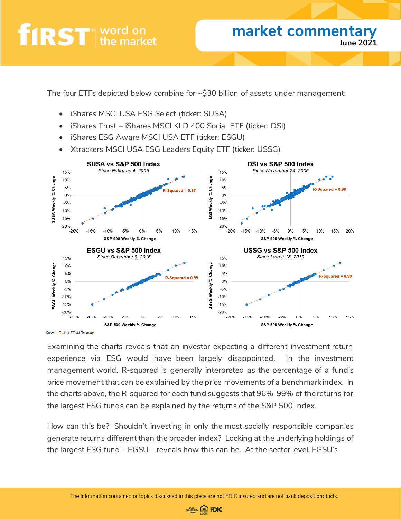The four ETFs depicted below combine for ~\$30 billion of assets under management:

- iShares MSCI USA ESG Select (ticker: SUSA)
- iShares Trust iShares MSCI KLD 400 Social ETF (ticker: DSI)
- iShares ESG Aware MSCI USA ETF (ticker: ESGU)
- Xtrackers MSCI USA ESG Leaders Equity ETF (ticker: USSG)



Source: Factset, FFWM Research

Examining the charts reveals that an investor expecting a different investment return experience via ESG would have been largely disappointed. In the investment management world, R-squared is generally interpreted as the percentage of a fund's price movement that can be explained by the price movements of a benchmark index. In the charts above, the R-squared for each fund suggests that 96%-99% of the returns for the largest ESG funds can be explained by the returns of the S&P 500 Index.

How can this be? Shouldn't investing in only the most socially responsible companies generate returns different than the broader index? Looking at the underlying holdings of the largest ESG fund – EGSU – reveals how this can be. At the sector level, EGSU's

The information contained or topics discussed in this piece are not FDIC insured and are not bank deposit products.

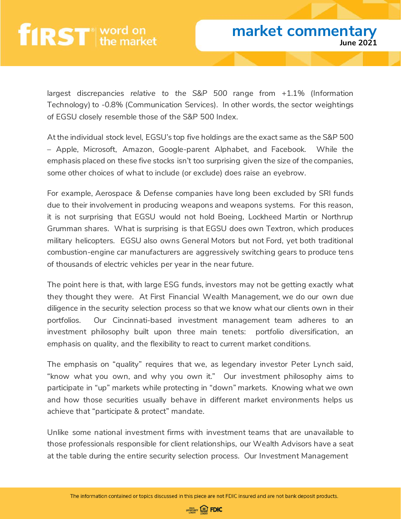largest discrepancies *relative to the S&P 500* range from +1.1% (Information Technology) to -0.8% (Communication Services). In other words, the sector weightings of EGSU closely resemble those of the S&P 500 Index.

At the individual stock level, EGSU's top five holdings are the exact same as the S&P 500 – Apple, Microsoft, Amazon, Google-parent Alphabet, and Facebook. While the emphasis placed on these five stocks isn't too surprising given the size of the companies, some other choices of what to include (or exclude) does raise an eyebrow.

For example, Aerospace & Defense companies have long been excluded by SRI funds due to their involvement in producing weapons and weapons systems. For this reason, it is not surprising that EGSU would not hold Boeing, Lockheed Martin or Northrup Grumman shares. What is surprising is that EGSU does own Textron, which produces military helicopters. EGSU also owns General Motors but not Ford, yet both traditional combustion-engine car manufacturers are aggressively switching gears to produce tens of thousands of electric vehicles per year in the near future.

The point here is that, with large ESG funds, investors may not be getting exactly what they thought they were. At First Financial Wealth Management, we do our own due diligence in the security selection process so that we know what our clients own in their portfolios. Our Cincinnati-based investment management team adheres to an investment philosophy built upon three main tenets: portfolio diversification, an emphasis on quality, and the flexibility to react to current market conditions.

The emphasis on "quality" requires that we, as legendary investor Peter Lynch said, "know what you own, and why you own it." Our investment philosophy aims to participate in "up" markets while protecting in "down" markets. Knowing what we own and how those securities usually behave in different market environments helps us achieve that "participate & protect" mandate.

Unlike some national investment firms with investment teams that are unavailable to those professionals responsible for client relationships, our Wealth Advisors have a seat at the table during the entire security selection process. Our Investment Management

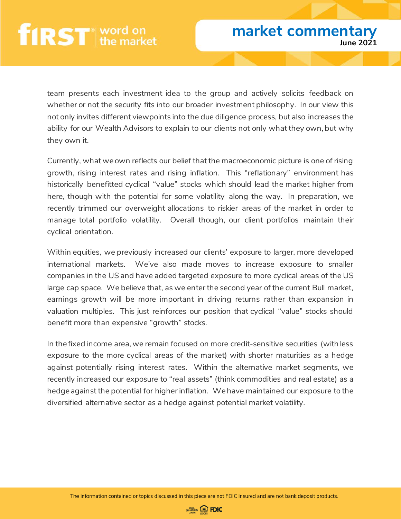team presents each investment idea to the group and actively solicits feedback on whether or not the security fits into our broader investment philosophy. In our view this not only invites different viewpoints into the due diligence process, but also increases the ability for our Wealth Advisors to explain to our clients not only what they own, but why they own it.

Currently, what we own reflects our belief that the macroeconomic picture is one of rising growth, rising interest rates and rising inflation. This "reflationary" environment has historically benefitted cyclical "value" stocks which should lead the market higher from here, though with the potential for some volatility along the way. In preparation, we recently trimmed our overweight allocations to riskier areas of the market in order to manage total portfolio volatility. Overall though, our client portfolios maintain their cyclical orientation.

Within equities, we previously increased our clients' exposure to larger, more developed international markets. We've also made moves to increase exposure to smaller companies in the US and have added targeted exposure to more cyclical areas of the US large cap space. We believe that, as we enter the second year of the current Bull market, earnings growth will be more important in driving returns rather than expansion in valuation multiples. This just reinforces our position that cyclical "value" stocks should benefit more than expensive "growth" stocks.

In the fixed income area, we remain focused on more credit-sensitive securities (with less exposure to the more cyclical areas of the market) with shorter maturities as a hedge against potentially rising interest rates. Within the alternative market segments, we recently increased our exposure to "real assets" (think commodities and real estate) as a hedge against the potential for higher inflation. We have maintained our exposure to the diversified alternative sector as a hedge against potential market volatility.

The information contained or topics discussed in this piece are not FDIC insured and are not bank deposit products.